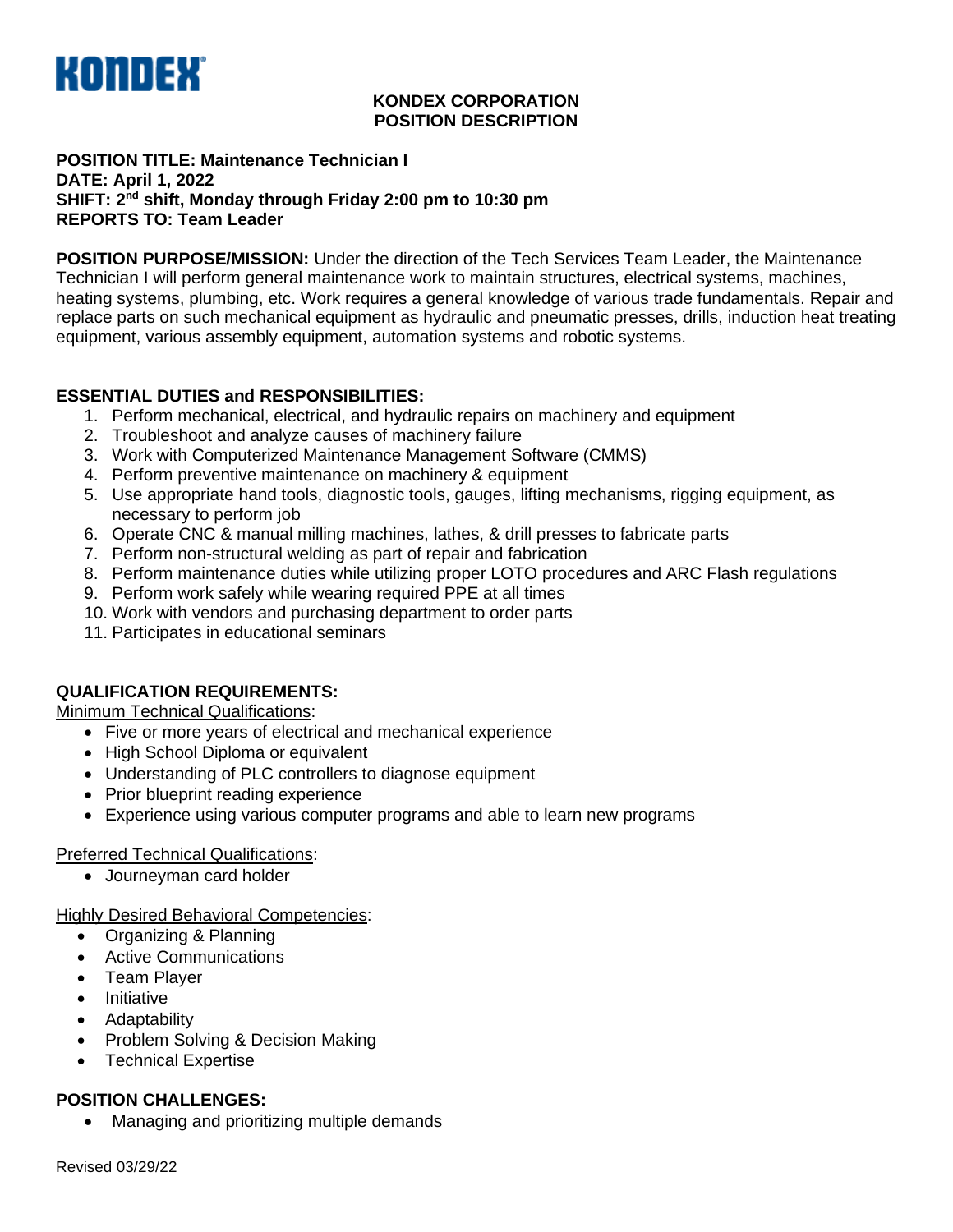

#### **KONDEX CORPORATION POSITION DESCRIPTION**

#### **POSITION TITLE: Maintenance Technician I DATE: April 1, 2022 SHIFT: 2 nd shift, Monday through Friday 2:00 pm to 10:30 pm REPORTS TO: Team Leader**

**POSITION PURPOSE/MISSION:** Under the direction of the Tech Services Team Leader, the Maintenance Technician I will perform general maintenance work to maintain structures, electrical systems, machines, heating systems, plumbing, etc. Work requires a general knowledge of various trade fundamentals. Repair and replace parts on such mechanical equipment as hydraulic and pneumatic presses, drills, induction heat treating equipment, various assembly equipment, automation systems and robotic systems.

# **ESSENTIAL DUTIES and RESPONSIBILITIES:**

- 1. Perform mechanical, electrical, and hydraulic repairs on machinery and equipment
- 2. Troubleshoot and analyze causes of machinery failure
- 3. Work with Computerized Maintenance Management Software (CMMS)
- 4. Perform preventive maintenance on machinery & equipment
- 5. Use appropriate hand tools, diagnostic tools, gauges, lifting mechanisms, rigging equipment, as necessary to perform job
- 6. Operate CNC & manual milling machines, lathes, & drill presses to fabricate parts
- 7. Perform non-structural welding as part of repair and fabrication
- 8. Perform maintenance duties while utilizing proper LOTO procedures and ARC Flash regulations
- 9. Perform work safely while wearing required PPE at all times
- 10. Work with vendors and purchasing department to order parts
- 11. Participates in educational seminars

# **QUALIFICATION REQUIREMENTS:**

Minimum Technical Qualifications:

- Five or more years of electrical and mechanical experience
- High School Diploma or equivalent
- Understanding of PLC controllers to diagnose equipment
- Prior blueprint reading experience
- Experience using various computer programs and able to learn new programs

# Preferred Technical Qualifications:

• Journeyman card holder

Highly Desired Behavioral Competencies:

- Organizing & Planning
- Active Communications
- Team Player
- **Initiative**
- Adaptability
- Problem Solving & Decision Making
- Technical Expertise

# **POSITION CHALLENGES:**

• Managing and prioritizing multiple demands